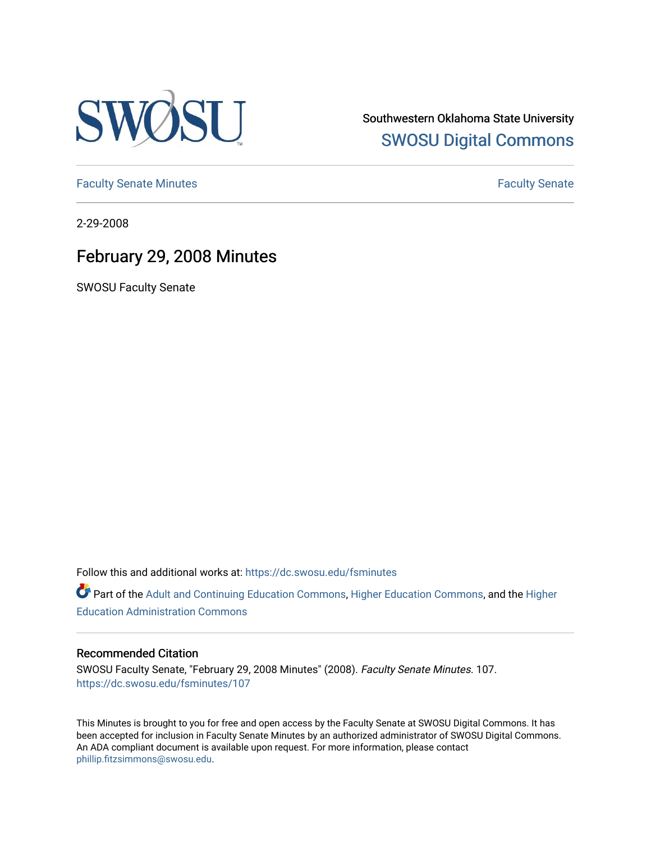

Southwestern Oklahoma State University [SWOSU Digital Commons](https://dc.swosu.edu/) 

[Faculty Senate Minutes](https://dc.swosu.edu/fsminutes) **Faculty** Senate Minutes

2-29-2008

## February 29, 2008 Minutes

SWOSU Faculty Senate

Follow this and additional works at: [https://dc.swosu.edu/fsminutes](https://dc.swosu.edu/fsminutes?utm_source=dc.swosu.edu%2Ffsminutes%2F107&utm_medium=PDF&utm_campaign=PDFCoverPages) 

Part of the [Adult and Continuing Education Commons,](http://network.bepress.com/hgg/discipline/1375?utm_source=dc.swosu.edu%2Ffsminutes%2F107&utm_medium=PDF&utm_campaign=PDFCoverPages) [Higher Education Commons,](http://network.bepress.com/hgg/discipline/1245?utm_source=dc.swosu.edu%2Ffsminutes%2F107&utm_medium=PDF&utm_campaign=PDFCoverPages) and the [Higher](http://network.bepress.com/hgg/discipline/791?utm_source=dc.swosu.edu%2Ffsminutes%2F107&utm_medium=PDF&utm_campaign=PDFCoverPages) [Education Administration Commons](http://network.bepress.com/hgg/discipline/791?utm_source=dc.swosu.edu%2Ffsminutes%2F107&utm_medium=PDF&utm_campaign=PDFCoverPages) 

#### Recommended Citation

SWOSU Faculty Senate, "February 29, 2008 Minutes" (2008). Faculty Senate Minutes. 107. [https://dc.swosu.edu/fsminutes/107](https://dc.swosu.edu/fsminutes/107?utm_source=dc.swosu.edu%2Ffsminutes%2F107&utm_medium=PDF&utm_campaign=PDFCoverPages) 

This Minutes is brought to you for free and open access by the Faculty Senate at SWOSU Digital Commons. It has been accepted for inclusion in Faculty Senate Minutes by an authorized administrator of SWOSU Digital Commons. An ADA compliant document is available upon request. For more information, please contact [phillip.fitzsimmons@swosu.edu](mailto:phillip.fitzsimmons@swosu.edu).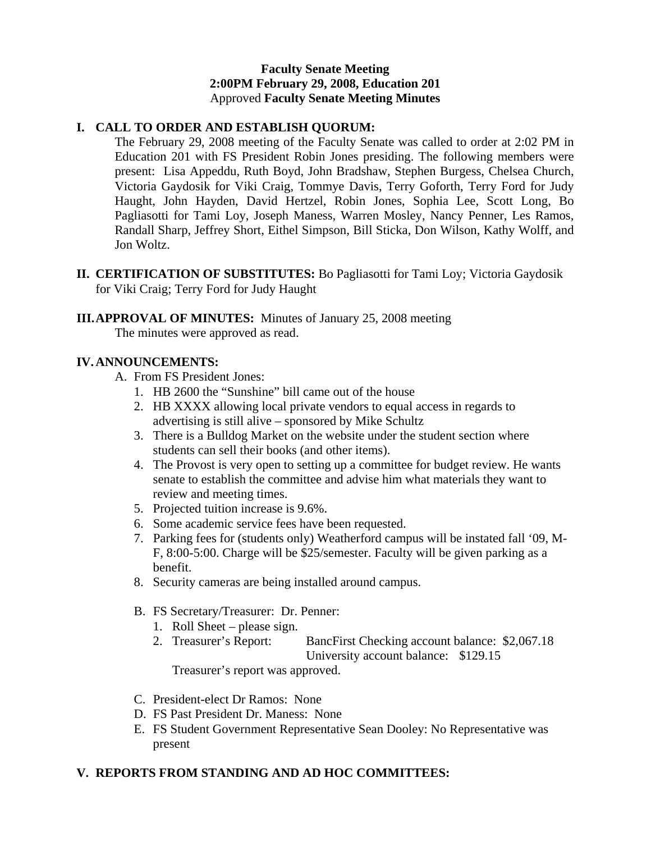#### **Faculty Senate Meeting 2:00PM February 29, 2008, Education 201**  Approved **Faculty Senate Meeting Minutes**

## **I. CALL TO ORDER AND ESTABLISH QUORUM:**

The February 29, 2008 meeting of the Faculty Senate was called to order at 2:02 PM in Education 201 with FS President Robin Jones presiding. The following members were present: Lisa Appeddu, Ruth Boyd, John Bradshaw, Stephen Burgess, Chelsea Church, Victoria Gaydosik for Viki Craig, Tommye Davis, Terry Goforth, Terry Ford for Judy Haught, John Hayden, David Hertzel, Robin Jones, Sophia Lee, Scott Long, Bo Pagliasotti for Tami Loy, Joseph Maness, Warren Mosley, Nancy Penner, Les Ramos, Randall Sharp, Jeffrey Short, Eithel Simpson, Bill Sticka, Don Wilson, Kathy Wolff, and Jon Woltz.

- **II. CERTIFICATION OF SUBSTITUTES:** Bo Pagliasotti for Tami Loy; Victoria Gaydosik for Viki Craig; Terry Ford for Judy Haught
- **III.APPROVAL OF MINUTES:** Minutes of January 25, 2008 meeting

The minutes were approved as read.

## **IV.ANNOUNCEMENTS:**

- A. From FS President Jones:
	- 1. HB 2600 the "Sunshine" bill came out of the house
	- 2. HB XXXX allowing local private vendors to equal access in regards to advertising is still alive – sponsored by Mike Schultz
	- 3. There is a Bulldog Market on the website under the student section where students can sell their books (and other items).
	- 4. The Provost is very open to setting up a committee for budget review. He wants senate to establish the committee and advise him what materials they want to review and meeting times.
	- 5. Projected tuition increase is 9.6%.
	- 6. Some academic service fees have been requested.
	- 7. Parking fees for (students only) Weatherford campus will be instated fall '09, M-F, 8:00-5:00. Charge will be \$25/semester. Faculty will be given parking as a benefit.
	- 8. Security cameras are being installed around campus.
	- B. FS Secretary/Treasurer: Dr. Penner:
		- 1. Roll Sheet please sign.
		- 2. Treasurer's Report: BancFirst Checking account balance: \$2,067.18 University account balance: \$129.15

Treasurer's report was approved.

- C. President-elect Dr Ramos: None
- D. FS Past President Dr. Maness: None
- E. FS Student Government Representative Sean Dooley: No Representative was present

## **V. REPORTS FROM STANDING AND AD HOC COMMITTEES:**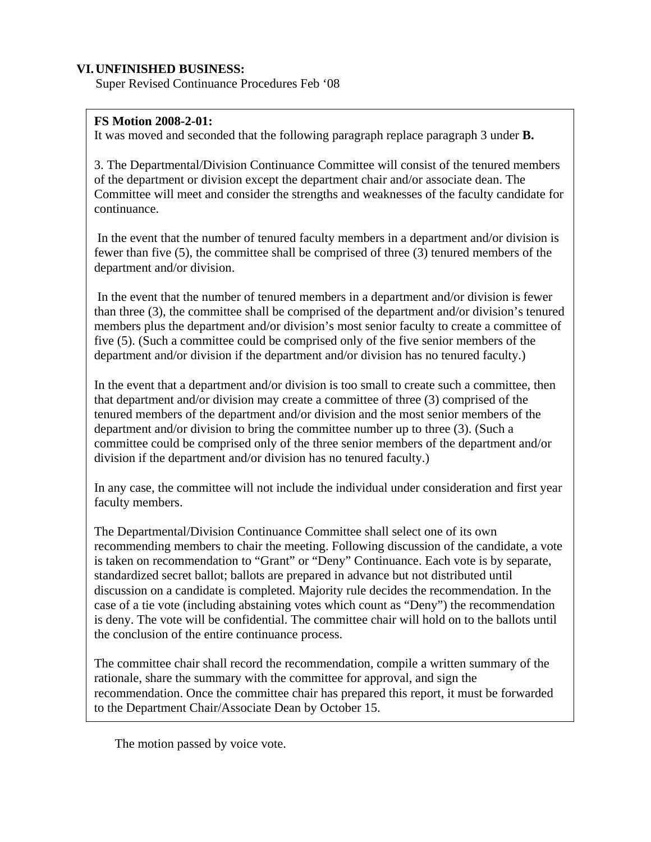## **VI.UNFINISHED BUSINESS:**

Super Revised Continuance Procedures Feb '08

#### **FS Motion 2008-2-01:**

It was moved and seconded that the following paragraph replace paragraph 3 under **B.** 

3. The Departmental/Division Continuance Committee will consist of the tenured members of the department or division except the department chair and/or associate dean. The Committee will meet and consider the strengths and weaknesses of the faculty candidate for continuance.

 In the event that the number of tenured faculty members in a department and/or division is fewer than five (5), the committee shall be comprised of three (3) tenured members of the department and/or division.

 In the event that the number of tenured members in a department and/or division is fewer than three (3), the committee shall be comprised of the department and/or division's tenured members plus the department and/or division's most senior faculty to create a committee of five (5). (Such a committee could be comprised only of the five senior members of the department and/or division if the department and/or division has no tenured faculty.)

In the event that a department and/or division is too small to create such a committee, then that department and/or division may create a committee of three (3) comprised of the tenured members of the department and/or division and the most senior members of the department and/or division to bring the committee number up to three (3). (Such a committee could be comprised only of the three senior members of the department and/or division if the department and/or division has no tenured faculty.)

In any case, the committee will not include the individual under consideration and first year faculty members.

The Departmental/Division Continuance Committee shall select one of its own recommending members to chair the meeting. Following discussion of the candidate, a vote is taken on recommendation to "Grant" or "Deny" Continuance. Each vote is by separate, standardized secret ballot; ballots are prepared in advance but not distributed until discussion on a candidate is completed. Majority rule decides the recommendation. In the case of a tie vote (including abstaining votes which count as "Deny") the recommendation is deny. The vote will be confidential. The committee chair will hold on to the ballots until the conclusion of the entire continuance process.

The committee chair shall record the recommendation, compile a written summary of the rationale, share the summary with the committee for approval, and sign the recommendation. Once the committee chair has prepared this report, it must be forwarded to the Department Chair/Associate Dean by October 15.

The motion passed by voice vote.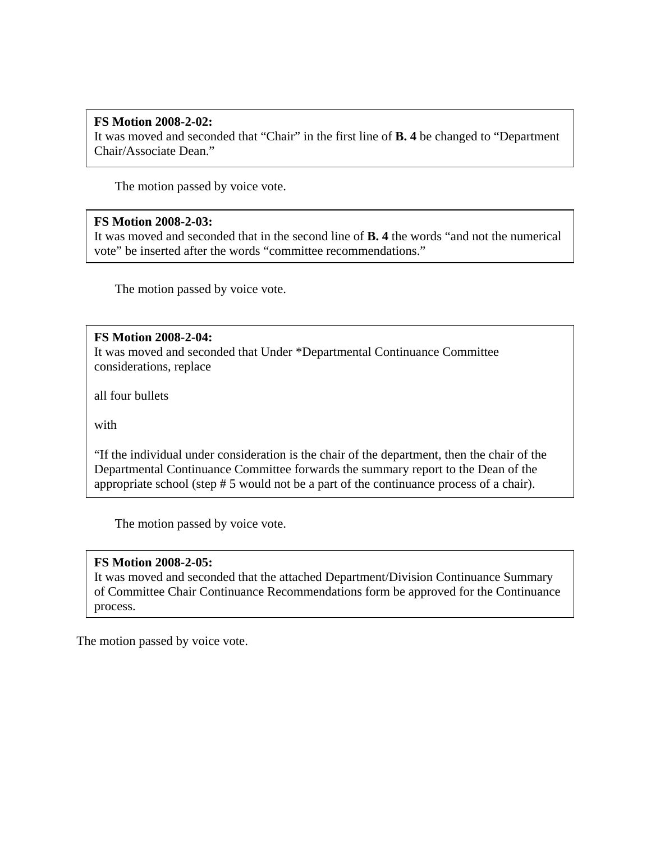## **FS Motion 2008-2-02:**

It was moved and seconded that "Chair" in the first line of **B. 4** be changed to "Department Chair/Associate Dean."

The motion passed by voice vote.

#### **FS Motion 2008-2-03:**

It was moved and seconded that in the second line of **B. 4** the words "and not the numerical vote" be inserted after the words "committee recommendations."

The motion passed by voice vote.

#### **FS Motion 2008-2-04:**

It was moved and seconded that Under \*Departmental Continuance Committee considerations, replace

all four bullets

with

"If the individual under consideration is the chair of the department, then the chair of the Departmental Continuance Committee forwards the summary report to the Dean of the appropriate school (step # 5 would not be a part of the continuance process of a chair).

The motion passed by voice vote.

#### **FS Motion 2008-2-05:**

It was moved and seconded that the attached Department/Division Continuance Summary of Committee Chair Continuance Recommendations form be approved for the Continuance process.

The motion passed by voice vote.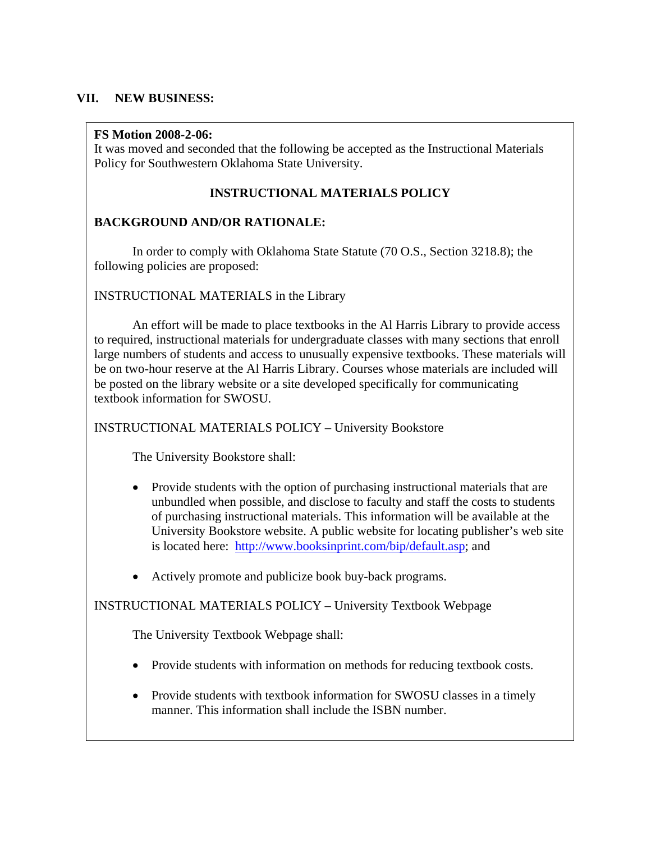## **VII. NEW BUSINESS:**

#### **FS Motion 2008-2-06:**

It was moved and seconded that the following be accepted as the Instructional Materials Policy for Southwestern Oklahoma State University.

## **INSTRUCTIONAL MATERIALS POLICY**

## **BACKGROUND AND/OR RATIONALE:**

 In order to comply with Oklahoma State Statute (70 O.S., Section 3218.8); the following policies are proposed:

## INSTRUCTIONAL MATERIALS in the Library

 An effort will be made to place textbooks in the Al Harris Library to provide access to required, instructional materials for undergraduate classes with many sections that enroll large numbers of students and access to unusually expensive textbooks. These materials will be on two-hour reserve at the Al Harris Library. Courses whose materials are included will be posted on the library website or a site developed specifically for communicating textbook information for SWOSU.

## INSTRUCTIONAL MATERIALS POLICY – University Bookstore

The University Bookstore shall:

- Provide students with the option of purchasing instructional materials that are unbundled when possible, and disclose to faculty and staff the costs to students of purchasing instructional materials. This information will be available at the University Bookstore website. A public website for locating publisher's web site is located here: [http://www.booksinprint.com/bip/default.asp;](http://www.booksinprint.com/bip/default.asp) and
- Actively promote and publicize book buy-back programs.

## INSTRUCTIONAL MATERIALS POLICY – University Textbook Webpage

The University Textbook Webpage shall:

- Provide students with information on methods for reducing textbook costs.
- Provide students with textbook information for SWOSU classes in a timely manner. This information shall include the ISBN number.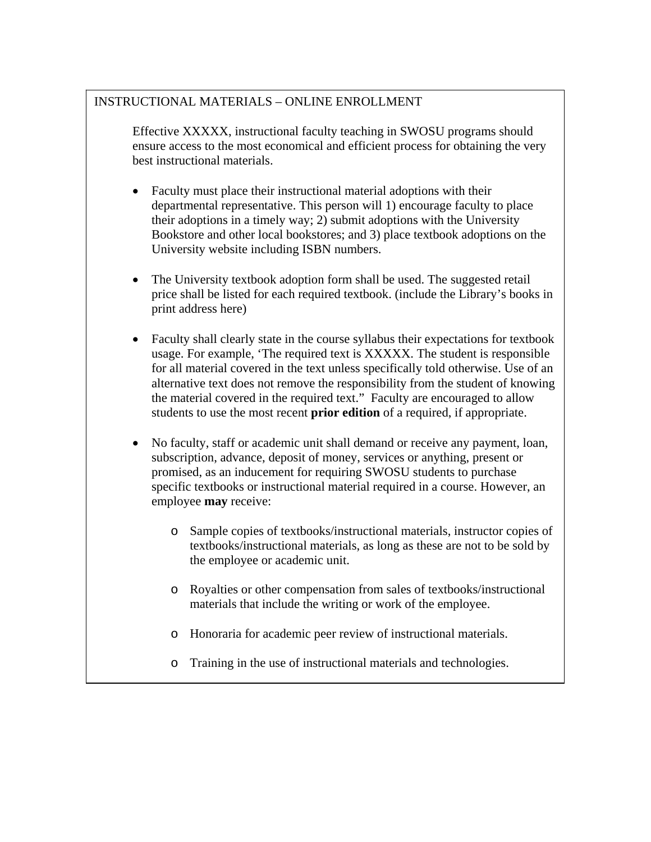## INSTRUCTIONAL MATERIALS – ONLINE ENROLLMENT

Effective XXXXX, instructional faculty teaching in SWOSU programs should ensure access to the most economical and efficient process for obtaining the very best instructional materials.

- Faculty must place their instructional material adoptions with their departmental representative. This person will 1) encourage faculty to place their adoptions in a timely way; 2) submit adoptions with the University Bookstore and other local bookstores; and 3) place textbook adoptions on the University website including ISBN numbers.
- The University textbook adoption form shall be used. The suggested retail price shall be listed for each required textbook. (include the Library's books in print address here)
- Faculty shall clearly state in the course syllabus their expectations for textbook usage. For example, 'The required text is XXXXX. The student is responsible for all material covered in the text unless specifically told otherwise. Use of an alternative text does not remove the responsibility from the student of knowing the material covered in the required text." Faculty are encouraged to allow students to use the most recent **prior edition** of a required, if appropriate.
- No faculty, staff or academic unit shall demand or receive any payment, loan, subscription, advance, deposit of money, services or anything, present or promised, as an inducement for requiring SWOSU students to purchase specific textbooks or instructional material required in a course. However, an employee **may** receive:
	- o Sample copies of textbooks/instructional materials, instructor copies of textbooks/instructional materials, as long as these are not to be sold by the employee or academic unit.
	- o Royalties or other compensation from sales of textbooks/instructional materials that include the writing or work of the employee.
	- o Honoraria for academic peer review of instructional materials.
	- o Training in the use of instructional materials and technologies.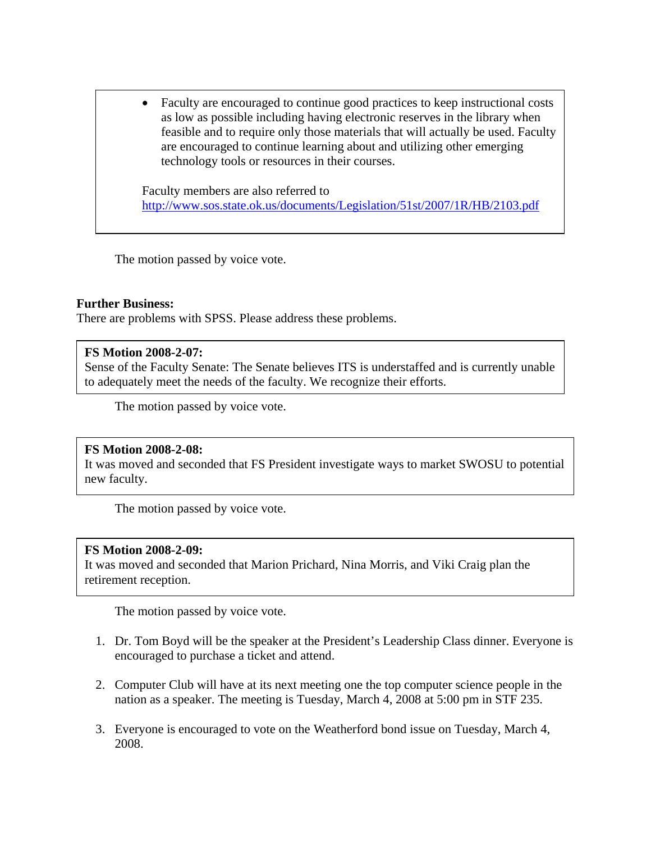• Faculty are encouraged to continue good practices to keep instructional costs as low as possible including having electronic reserves in the library when feasible and to require only those materials that will actually be used. Faculty are encouraged to continue learning about and utilizing other emerging technology tools or resources in their courses.

Faculty members are also referred to <http://www.sos.state.ok.us/documents/Legislation/51st/2007/1R/HB/2103.pdf>

The motion passed by voice vote.

#### **Further Business:**

There are problems with SPSS. Please address these problems.

#### **FS Motion 2008-2-07:**

Sense of the Faculty Senate: The Senate believes ITS is understaffed and is currently unable to adequately meet the needs of the faculty. We recognize their efforts.

The motion passed by voice vote.

#### **FS Motion 2008-2-08:**

It was moved and seconded that FS President investigate ways to market SWOSU to potential new faculty.

The motion passed by voice vote.

#### **FS Motion 2008-2-09:**

It was moved and seconded that Marion Prichard, Nina Morris, and Viki Craig plan the retirement reception.

The motion passed by voice vote.

- 1. Dr. Tom Boyd will be the speaker at the President's Leadership Class dinner. Everyone is encouraged to purchase a ticket and attend.
- 2. Computer Club will have at its next meeting one the top computer science people in the nation as a speaker. The meeting is Tuesday, March 4, 2008 at 5:00 pm in STF 235.
- 3. Everyone is encouraged to vote on the Weatherford bond issue on Tuesday, March 4, 2008.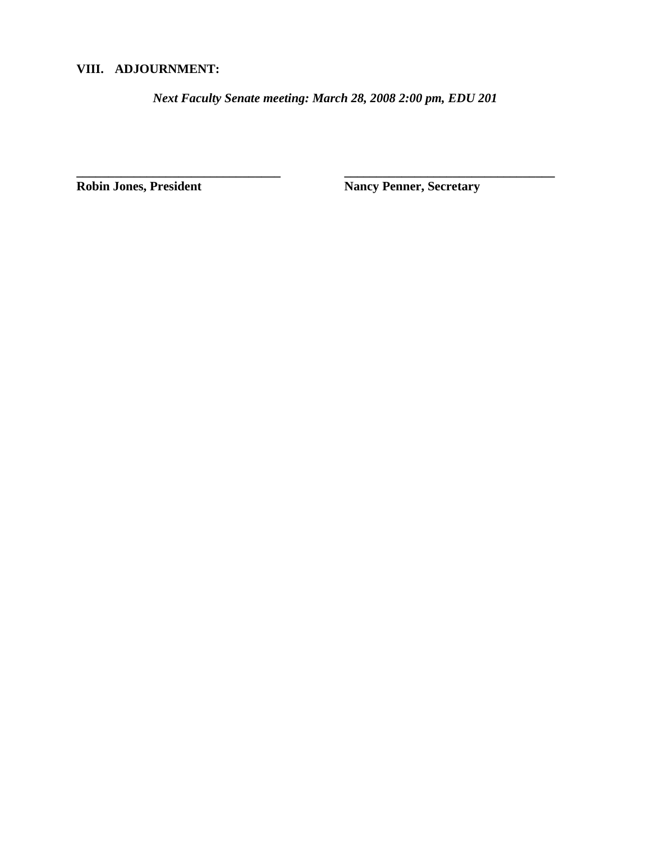## **VIII. ADJOURNMENT:**

*Next Faculty Senate meeting: March 28, 2008 2:00 pm, EDU 201* 

**\_\_\_\_\_\_\_\_\_\_\_\_\_\_\_\_\_\_\_\_\_\_\_\_\_\_\_\_\_\_\_\_ \_\_\_\_\_\_\_\_\_\_\_\_\_\_\_\_\_\_\_\_\_\_\_\_\_\_\_\_\_\_\_\_\_** 

**Robin Jones, President Nancy Penner, Secretary**